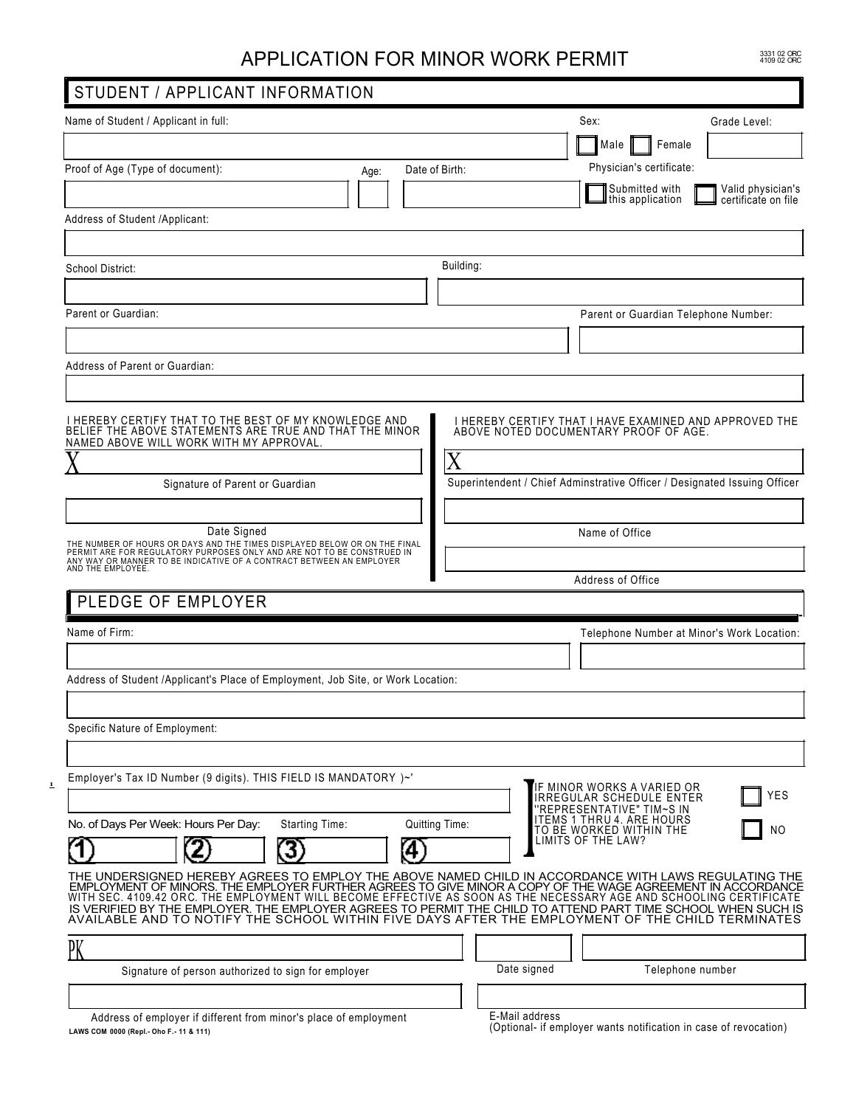## APPLICATION FOR MINOR WORK PERMIT

3331 02 ORC<br>4109 02 ORC

| STUDENT / APPLICANT INFORMATION                                                                                                                                     |                                                                                                                                                                                                                                                                                                                                          |
|---------------------------------------------------------------------------------------------------------------------------------------------------------------------|------------------------------------------------------------------------------------------------------------------------------------------------------------------------------------------------------------------------------------------------------------------------------------------------------------------------------------------|
| Name of Student / Applicant in full:                                                                                                                                | Sex:<br>Grade Level:                                                                                                                                                                                                                                                                                                                     |
|                                                                                                                                                                     | Male<br>Female                                                                                                                                                                                                                                                                                                                           |
| Proof of Age (Type of document):<br>Age:                                                                                                                            | Physician's certificate:<br>Date of Birth:                                                                                                                                                                                                                                                                                               |
|                                                                                                                                                                     | Submitted with<br>Valid physician's<br>this application<br>certificate on file                                                                                                                                                                                                                                                           |
| Address of Student /Applicant:                                                                                                                                      |                                                                                                                                                                                                                                                                                                                                          |
|                                                                                                                                                                     |                                                                                                                                                                                                                                                                                                                                          |
| School District:                                                                                                                                                    | Building:                                                                                                                                                                                                                                                                                                                                |
|                                                                                                                                                                     |                                                                                                                                                                                                                                                                                                                                          |
| Parent or Guardian:                                                                                                                                                 | Parent or Guardian Telephone Number:                                                                                                                                                                                                                                                                                                     |
|                                                                                                                                                                     |                                                                                                                                                                                                                                                                                                                                          |
|                                                                                                                                                                     |                                                                                                                                                                                                                                                                                                                                          |
| Address of Parent or Guardian:                                                                                                                                      |                                                                                                                                                                                                                                                                                                                                          |
|                                                                                                                                                                     |                                                                                                                                                                                                                                                                                                                                          |
| I HEREBY CERTIFY THAT TO THE BEST OF MY KNOWLEDGE AND<br>BELIEF THE ABOVE STATEMENTS ARE TRUE AND THAT THE MINOR                                                    | I HEREBY CERTIFY THAT I HAVE EXAMINED AND APPROVED THE<br>ABOVE NOTED DOCUMENTARY PROOF OF AGE.                                                                                                                                                                                                                                          |
| NAMED ABOVE WILL WORK WITH MY APPROVAL                                                                                                                              |                                                                                                                                                                                                                                                                                                                                          |
|                                                                                                                                                                     | X                                                                                                                                                                                                                                                                                                                                        |
| Signature of Parent or Guardian                                                                                                                                     | Superintendent / Chief Adminstrative Officer / Designated Issuing Officer                                                                                                                                                                                                                                                                |
|                                                                                                                                                                     |                                                                                                                                                                                                                                                                                                                                          |
| Date Signed<br>THE NUMBER OF HOURS OR DAYS AND THE TIMES DISPLAYED BELOW OR ON THE FINAL                                                                            | Name of Office                                                                                                                                                                                                                                                                                                                           |
| PERMIT ARE FOR REGULATORY PURPOSES ONLY AND ARE NOT TO BE CONSTRUED IN<br>ANY WAY OR MANNER TO BE INDICATIVE OF A CONTRACT BETWEEN AN EMPLOYER<br>AND THE EMPLOYEE. |                                                                                                                                                                                                                                                                                                                                          |
|                                                                                                                                                                     | Address of Office                                                                                                                                                                                                                                                                                                                        |
| PLEDGE OF EMPLOYER                                                                                                                                                  |                                                                                                                                                                                                                                                                                                                                          |
| Name of Firm:                                                                                                                                                       | Telephone Number at Minor's Work Location:                                                                                                                                                                                                                                                                                               |
|                                                                                                                                                                     |                                                                                                                                                                                                                                                                                                                                          |
| Address of Student /Applicant's Place of Employment, Job Site, or Work Location:                                                                                    |                                                                                                                                                                                                                                                                                                                                          |
|                                                                                                                                                                     |                                                                                                                                                                                                                                                                                                                                          |
| Specific Nature of Employment:                                                                                                                                      |                                                                                                                                                                                                                                                                                                                                          |
|                                                                                                                                                                     |                                                                                                                                                                                                                                                                                                                                          |
| Employer's Tax ID Number (9 digits). THIS FIELD IS MANDATORY )~'                                                                                                    |                                                                                                                                                                                                                                                                                                                                          |
|                                                                                                                                                                     | F MINOR WORKS A VARIED OR<br>YES<br>IRREGULAR SCHEDULE ENTER                                                                                                                                                                                                                                                                             |
|                                                                                                                                                                     | 'REPRESENTATIVE" TIM~S IN<br>ITEMS 1 THRU 4. ARE HOURS                                                                                                                                                                                                                                                                                   |
| No. of Days Per Week: Hours Per Day:<br>Starting Time:                                                                                                              | Quitting Time:<br>TO BE WORKED WITHIN THE<br>NO<br>LIMITS OF THE LAW?                                                                                                                                                                                                                                                                    |
| 4                                                                                                                                                                   |                                                                                                                                                                                                                                                                                                                                          |
|                                                                                                                                                                     | THE UNDERSIGNED HEREBY AGREES TO EMPLOY THE ABOVE NAMED CHILD IN ACCORDANCE WITH LAWS REGULATING THE<br>EMPLOYMENT OF MINORS. THE EMPLOYER FURTHER AGREES TO GIVE MINOR A COPY OF THE WAGE AGREEMENT IN ACCORDANCE<br>WITH SEC. 4109.42 ORC. THE EMPLOYMENT WILL BECOME EFFECTIVE AS SOON AS THE NECESSARY AGE AND SCHOOLING CERTIFICATE |
|                                                                                                                                                                     | IS VERIFIED BY THE EMPLOYER. THE EMPLOYER AGREES TO PERMIT THE CHILD TO ATTEND PART TIME SCHOOL WHEN SUCH IS<br>AVAILABLE AND TO NOTIFY THE SCHOOL WITHIN FIVE DAYS AFTER THE EMPLOYMENT OF THE CHILD TERMINATES                                                                                                                         |
|                                                                                                                                                                     |                                                                                                                                                                                                                                                                                                                                          |
| PK<br>Signature of person authorized to sign for employer                                                                                                           | Date signed<br>Telephone number                                                                                                                                                                                                                                                                                                          |
|                                                                                                                                                                     |                                                                                                                                                                                                                                                                                                                                          |
|                                                                                                                                                                     | E-Mail address                                                                                                                                                                                                                                                                                                                           |
| Address of employer if different from minor's place of employment<br>LAWS COM 0000 (Repl.- Oho F.- 11 & 111)                                                        | (Optional- if employer wants notification in case of revocation)                                                                                                                                                                                                                                                                         |

I